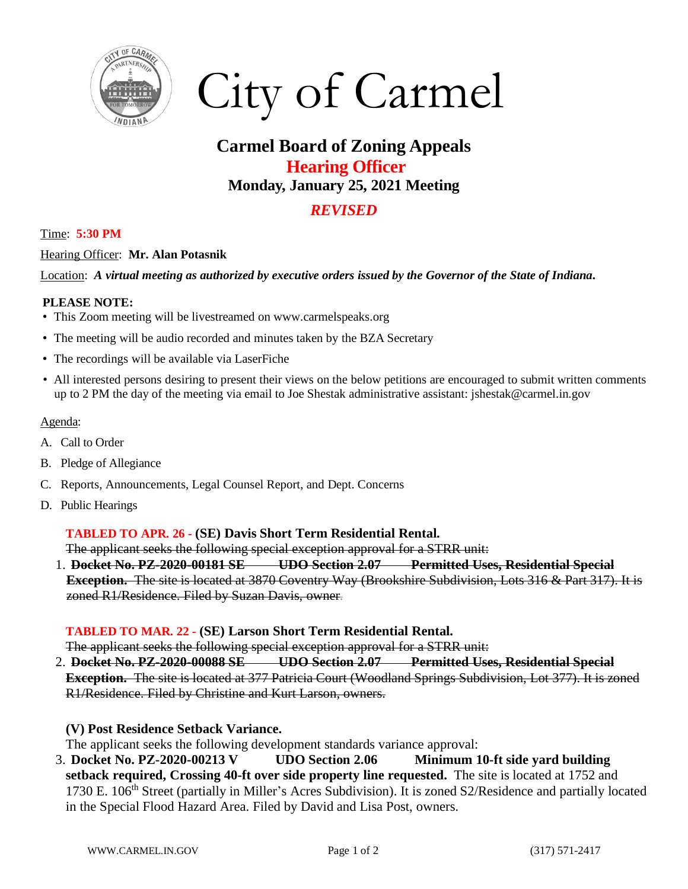

# City of Carmel

## **Carmel Board of Zoning Appeals Hearing Officer Monday, January 25, 2021 Meeting**

### *REVISED*

#### Time: **5:30 PM**

#### Hearing Officer: **Mr. Alan Potasnik**

Location: *A virtual meeting as authorized by executive orders issued by the Governor of the State of Indiana***.** 

#### **PLEASE NOTE:**

- This Zoom meeting will be livestreamed on www.carmelspeaks.org
- The meeting will be audio recorded and minutes taken by the BZA Secretary
- The recordings will be available via LaserFiche
- All interested persons desiring to present their views on the below petitions are encouraged to submit written comments up to 2 PM the day of the meeting via email to Joe Shestak administrative assistant: jshestak@carmel.in.gov

#### Agenda:

- A. Call to Order
- B. Pledge of Allegiance
- C. Reports, Announcements, Legal Counsel Report, and Dept. Concerns
- D. Public Hearings

#### **TABLED TO APR. 26 - (SE) Davis Short Term Residential Rental.**

The applicant seeks the following special exception approval for a STRR unit:

1. **Docket No. PZ-2020-00181 SE UDO Section 2.07 Permitted Uses, Residential Special Exception.** The site is located at 3870 Coventry Way (Brookshire Subdivision, Lots 316 & Part 317). It is zoned R1/Residence. Filed by Suzan Davis, owner.

#### **TABLED TO MAR. 22 - (SE) Larson Short Term Residential Rental.**

The applicant seeks the following special exception approval for a STRR unit:

2. **Docket No. PZ-2020-00088 SE UDO Section 2.07 Permitted Uses, Residential Special Exception.** The site is located at 377 Patricia Court (Woodland Springs Subdivision, Lot 377). It is zoned R1/Residence. Filed by Christine and Kurt Larson, owners.

#### **(V) Post Residence Setback Variance.**

The applicant seeks the following development standards variance approval:

3. **Docket No. PZ-2020-00213 V UDO Section 2.06 Minimum 10-ft side yard building setback required, Crossing 40-ft over side property line requested.** The site is located at 1752 and 1730 E. 106<sup>th</sup> Street (partially in Miller's Acres Subdivision). It is zoned S2/Residence and partially located in the Special Flood Hazard Area. Filed by David and Lisa Post, owners.